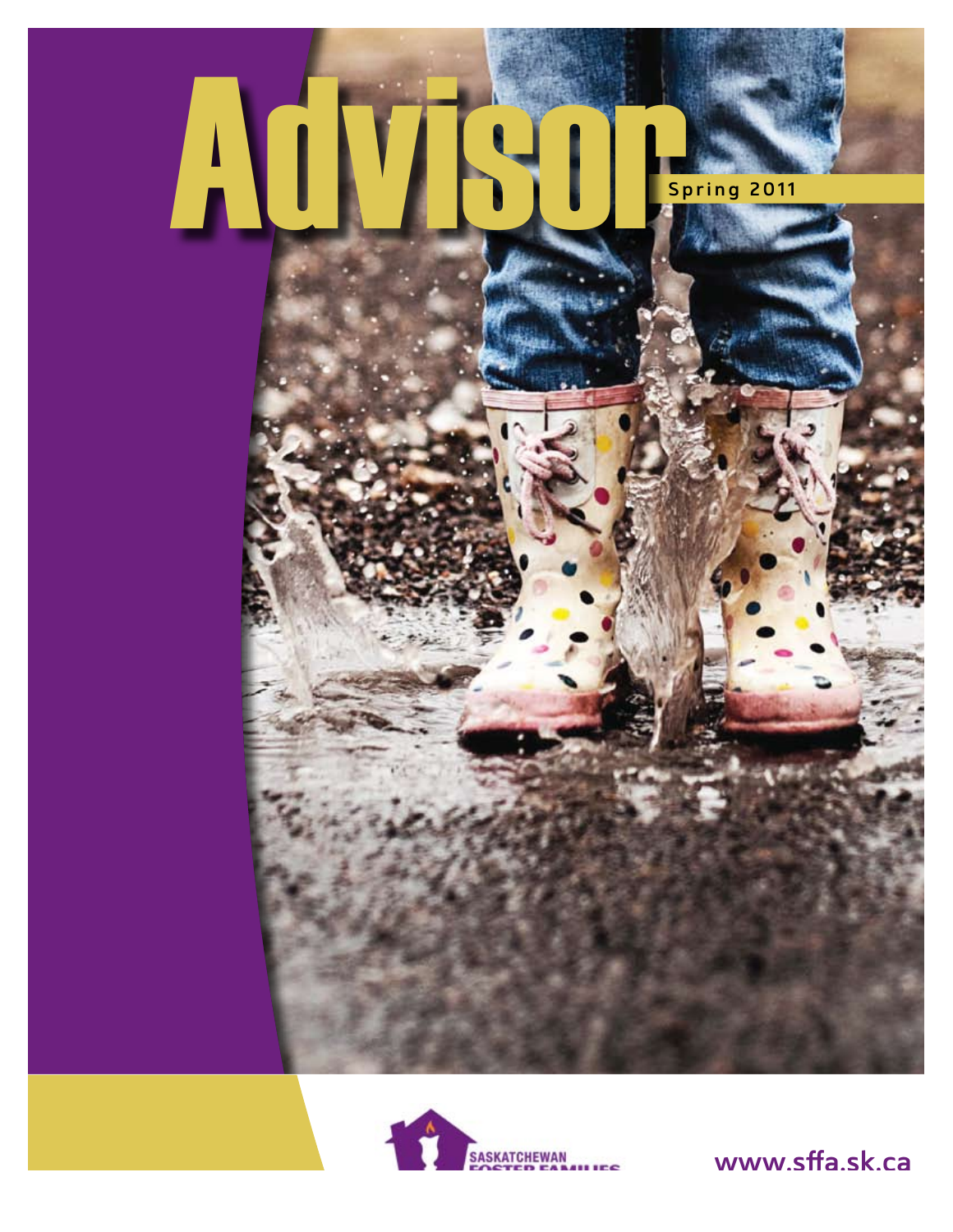



www.sffa.sk.ca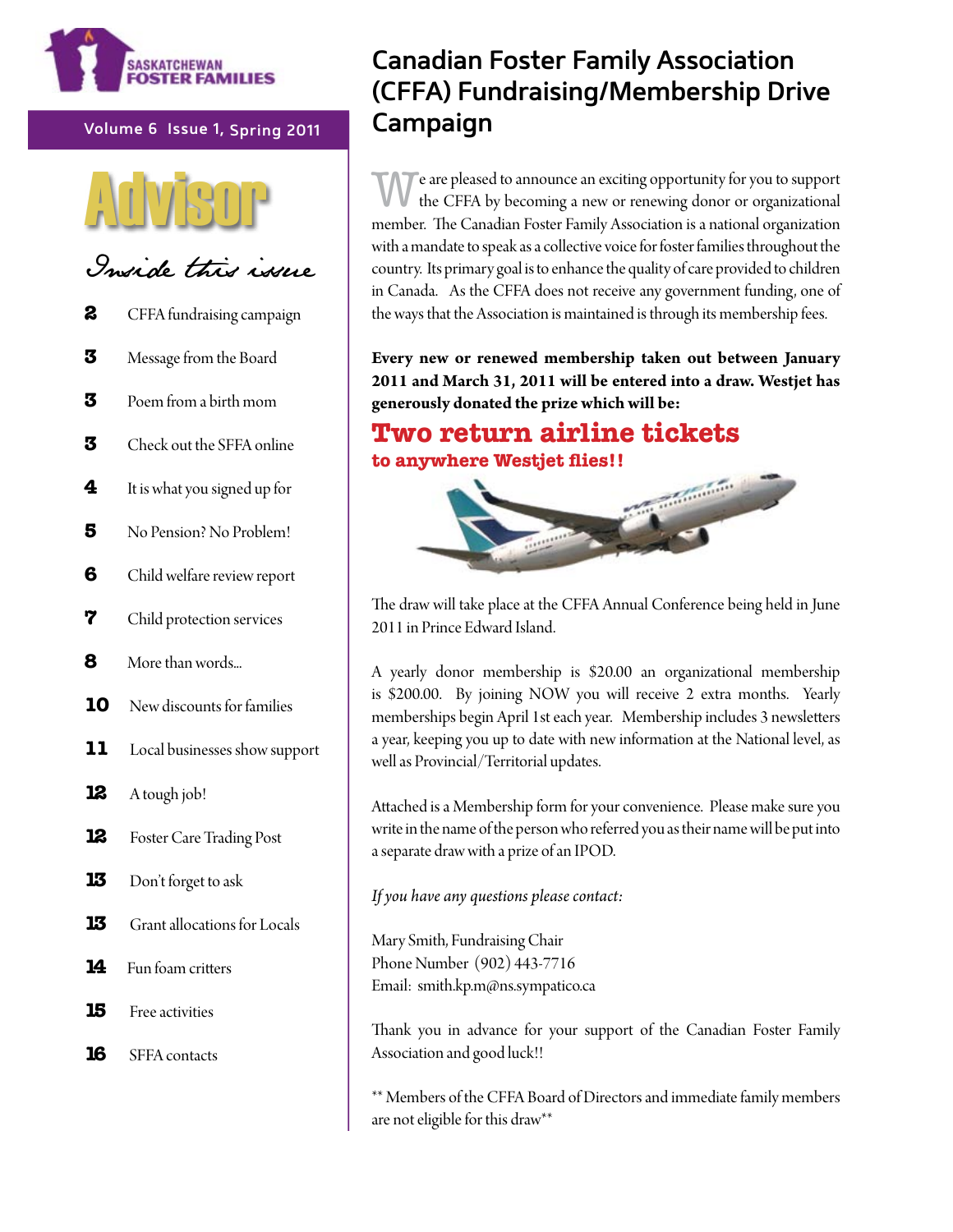

Volume 6 Issue 1, Spring 2011



Inside this issue

- $\mathbf{z}$ CFFA fundraising campaign
- 3 Message from the Board
- 3 Poem from a birth mom
- $\mathbf{z}$ Check out the SFFA online
- $\overline{\mathbf{4}}$ It is what you signed up for
- 5 No Pension? No Problem!
- 6 Child welfare review report
- 7 Child protection services
- 8 More than words...
- 10 New discounts for families
- 11 Local businesses show support
- 12 A tough job!
- 12 Foster Care Trading Post
- 13 Don't forget to ask
- 13 Grant allocations for Locals
- $14$ Fun foam critters
- 15 Free activities
- 16 **SFFA** contacts

## **Canadian Foster Family Association** (CFFA) Fundraising/Membership Drive Campaign

e are pleased to announce an exciting opportunity for you to support the CFFA by becoming a new or renewing donor or organizational member. The Canadian Foster Family Association is a national organization with a mandate to speak as a collective voice for foster families throughout the country. Its primary goal is to enhance the quality of care provided to children in Canada. As the CFFA does not receive any government funding, one of the ways that the Association is maintained is through its membership fees.

Every new or renewed membership taken out between January 2011 and March 31, 2011 will be entered into a draw. Westjet has generously donated the prize which will be:

## **Two return airline tickets** to anywhere Westjet flies!!



The draw will take place at the CFFA Annual Conference being held in June 2011 in Prince Edward Island.

A yearly donor membership is \$20.00 an organizational membership is \$200.00. By joining NOW you will receive 2 extra months. Yearly memberships begin April 1st each year. Membership includes 3 newsletters a year, keeping you up to date with new information at the National level, as well as Provincial/Territorial updates.

Attached is a Membership form for your convenience. Please make sure you write in the name of the person who referred you as their name will be put into a separate draw with a prize of an IPOD.

If you have any questions please contact:

Mary Smith, Fundraising Chair Phone Number (902) 443-7716 Email: smith.kp.m@ns.sympatico.ca

Thank you in advance for your support of the Canadian Foster Family Association and good luck!!

\*\* Members of the CFFA Board of Directors and immediate family members are not eligible for this draw\*\*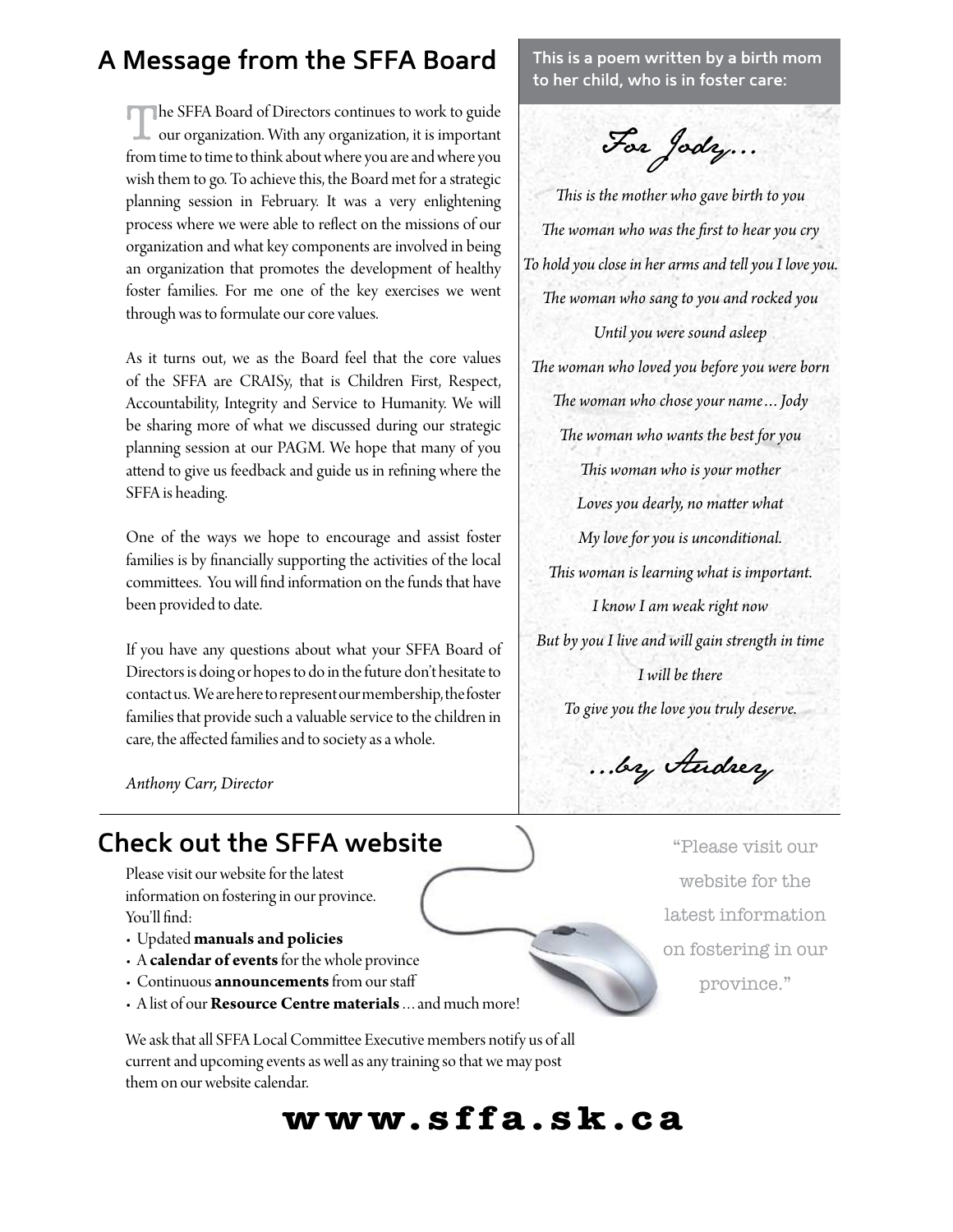## **A Message from the SFFA Board**

The SFFA Board of Directors continues to work to guide our organization. With any organization, it is important from time to time to think about where you are and where you wish them to go. To achieve this, the Board met for a strategic planning session in February. It was a very enlightening process where we were able to refect on the missions of our organization and what key components are involved in being an organization that promotes the development of healthy foster families. For me one of the key exercises we went through was to formulate our core values.

As it turns out, we as the Board feel that the core values of the SFFA are CRISy, that is Children First, Respect, Accountability, Integrity and Service to Humanity. We will be sharing more of what we discussed during our strategic planning session at our PAGM. We hope that many of you atend to give us feedback and guide us in refning where the SFFA is heading.

One of the ways we hope to encourage and assist foster families is by fnancially supporting the activities of the local commitees. You will fnd information on the funds that have been provided to date.

If you have any questions about what your SFFA Board of Directors is doing or hopes to do in the future don't hesitate to contact us. We are here to represent our membership, the foster families that provide such a valuable service to the children in care, the afected families and to society as a whole.

*Anthony Carr, Director*

## **Check out the SFFA website**

Please visit our website for the latest information on fostering in our province. You'll find:

- $\cdot$  Updated manuals and policies
- **A** calendar of events for the whole province
- **Continuous announcements** from our staff
- **Alist of our Resource Centre materials** ... and much more!

We ask that all SFFA Local Commitee Executive members notify us of all current and upcoming events as well as any training so that we may post them on our website calendar.

**www.sffa.sk.ca**

**This is a poem written by a birth mom to her child, who is in foster care:**

For Jody...

*Tis is the mother who gave birth to you Te woman who was the frst to hear you cry To hold you close in her arms and tell you I love you. Te woman who sang to you and rocked you Until you were sound asleep Te woman who loved you before you were born Te woman who chose your name…Jody Te woman who wants the best for you Tis woman who is your mother Loves you dearly, no mater what My love for you is unconditional. Tis woman is learning what is important. I know I am weak right now But by you I live and will gain strength in time I will be there To give you the love you truly deserve.*

...by Audrey

"Please visit our website for the latest information on fostering in our province."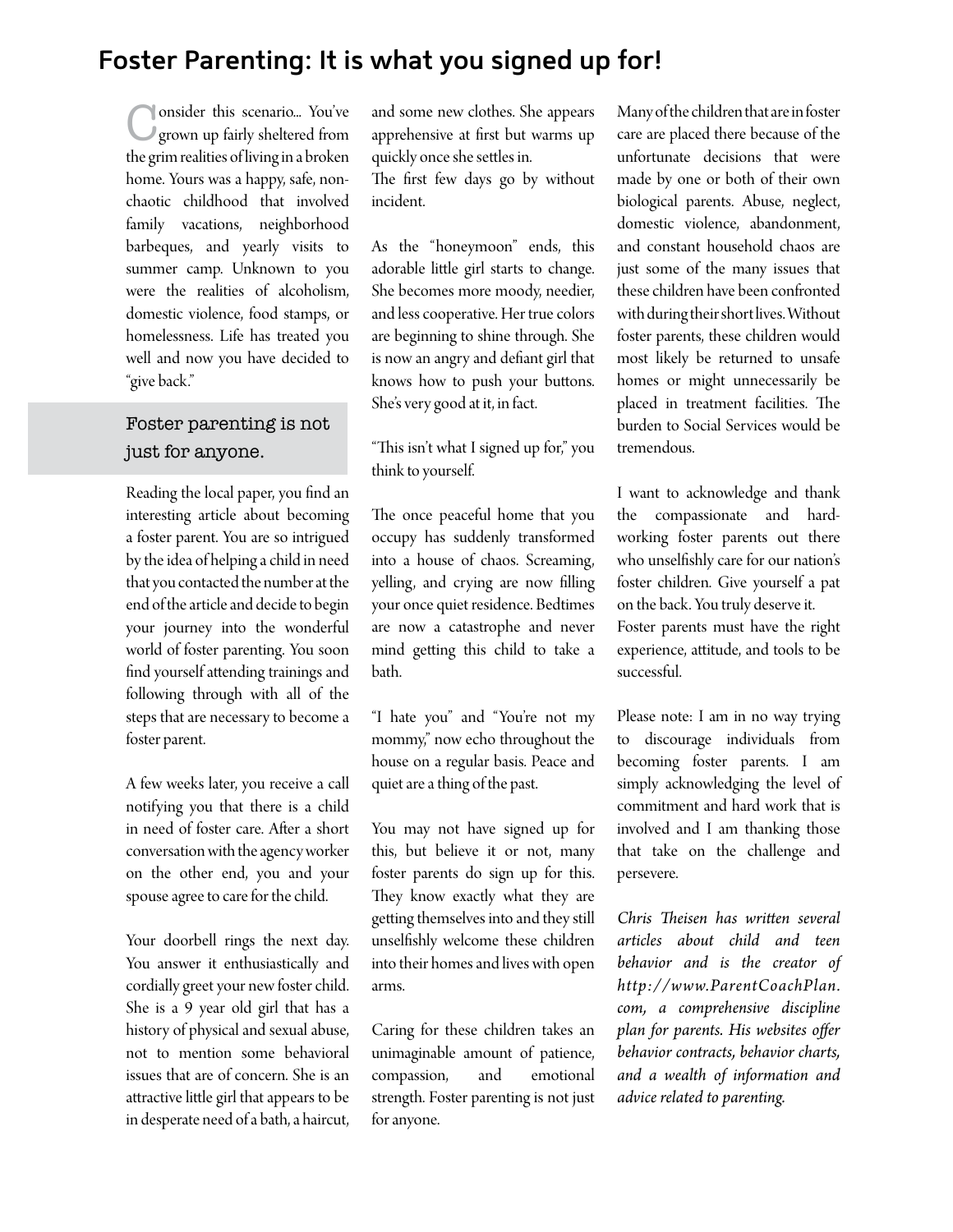## **Foster Parenting: It is what you signed up for!**

Consider this scenario... You've grown up fairly sheltered from the grim realities of living in a broken home. Yours was a happy, safe, nonchaotic childhood that involved family vacations, neighborhood barbeques, and yearly visits to summer camp. Unknown to you were the realities of alcoholism, domestic violence, food stamps, or homelessness. Life has treated you well and now you have decided to "give back."

#### Foster parenting is not just for anyone.

Reading the local paper, you fnd an interesting article about becoming a foster parent. You are so intrigued by the idea of helping a child in need that you contacted the number at the end of the article and decide to begin your journey into the wonderful world of foster parenting. You soon fnd yourself atending trainings and following through with all of the steps that are necessary to become a foster parent.

A few weeks later, you receive a call notifying you that there is a child in need of foster care. Afer a short conversation with the agency worker on the other end, you and your spouse agree to care for the child.

Your doorbell rings the next day. You answer it enthusiastically and cordially greet your new foster child. She is a 9 year old girl that has a history of physical and sexual abuse, not to mention some behavioral issues that are of concern. She is an atractive litle girl that appears to be in desperate need of a bath, a haircut, and some new clothes. She appears apprehensive at frst but warms up quickly once she setles in. The first few days go by without incident.

As the "honeymoon" ends, this adorable litle girl starts to change. She becomes more moody, needier, and less cooperative. Her true colors are beginning to shine through. She is now an angry and defant girl that knows how to push your butons. She's very good at it, in fact.

"This isn't what I signed up for," you think to yourself.

The once peaceful home that you occupy has suddenly transformed into a house of chaos. Screaming, yelling, and crying are now flling your once quiet residence. Bedtimes are now a catastrophe and never mind geting this child to take a bath.

"I hate you" and "You're not my mommy," now echo throughout the house on a regular basis. Peace and quiet are a thing of the past.

You may not have signed up for this, but believe it or not, many foster parents do sign up for this. They know exactly what they are geting themselves into and they still unselfshly welcome these children into their homes and lives with open arms.

Caring for these children takes an unimaginable amount of patience, compassion, and emotional strength. Foster parenting is not just for anyone.

Many of the children that are in foster care are placed there because of the unfortunate decisions that were made by one or both of their own biological parents. Abuse, neglect, domestic violence, abandonment, and constant household chaos are just some of the many issues that these children have been confronted with during their short lives. Without foster parents, these children would most likely be returned to unsafe homes or might unnecessarily be placed in treatment facilities. The burden to Social Services would be tremendous.

I want to acknowledge and thank the compassionate and hardworking foster parents out there who unselfshly care for our nation's foster children. Give yourself a pat on the back. You truly deserve it. Foster parents must have the right experience, atitude, and tools to be successful.

Please note: I am in no way trying to discourage individuals from becoming foster parents. I am simply acknowledging the level of commitment and hard work that is involved and I am thanking those that take on the challenge and persevere.

*Chris Teisen has writen several articles about child and teen behavior and is the creator of http://www.ParentCoachPlan. com, a comprehensive discipline plan for parents. His websites ofer behavior contracts, behavior charts, and a wealth of information and advice related to parenting.*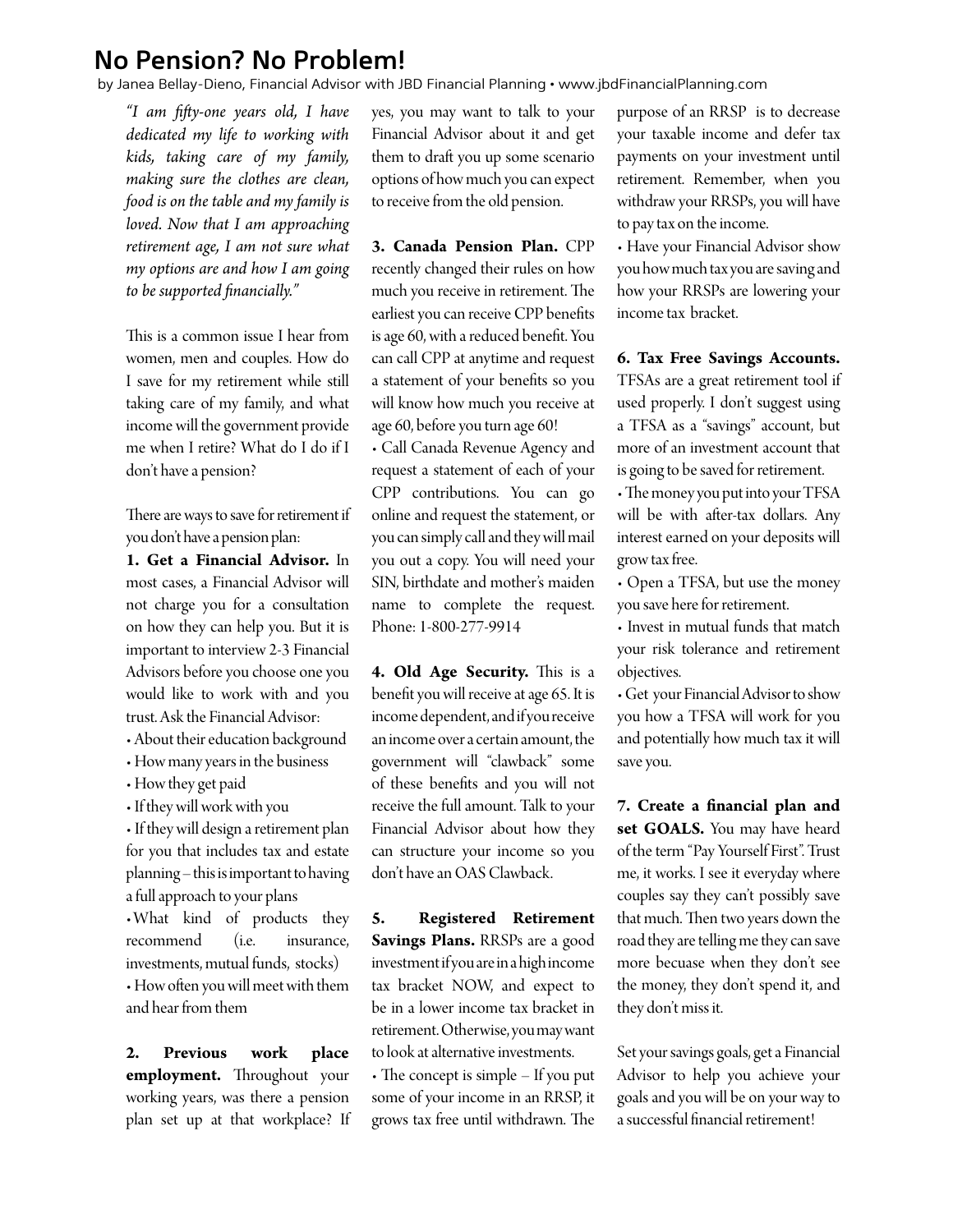### **No Pension? No Problem!**

by Janea Bellay-Dieno, Financial Advisor with JBD Financial Planning • www.jbdFinancialPlanning.com

*"I am ffy-one years old, I have dedicated my life to working with kids, taking care of my family, making sure the clothes are clean, food is on the table and my family is loved. Now that I am approaching retirement age, I am not sure what my options are and how I am going to be supported fnancially."*

This is a common issue I hear from women, men and couples. How do I save for my retirement while still taking care of my family, and what income will the government provide me when I retire? What do I do if I don't have a pension?

There are ways to save for retirement if you don't have a pension plan:

**1. Get a Financial Advisor.** In most cases, a Financial Advisor will not charge you for a consultation on how they can help you. But it is important to interview 2-3 Financial Advisors before you choose one you would like to work with and you trust. Ask the Financial Advisor:

- About their education background
- How many years in the business
- How they get paid
- If they will work with you

• If they will design a retirement plan for you that includes tax and estate planning – this is important to having a full approach to your plans What kind of products they recommend (i.e. insurance, investments, mutual funds, stocks) • How often you will meet with them and hear from them

**2. Previous work place employment.** Throughout your working years, was there a pension plan set up at that workplace? If yes, you may want to talk to your Financial Advisor about it and get them to draft you up some scenario options of how much you can expect to receive from the old pension.

**3. Canada Pension Plan.** CPP recently changed their rules on how much you receive in retirement. The earliest you can receive CPP benefts is age 60, with a reduced beneft. You can call CPP at anytime and request a statement of your benefts so you will know how much you receive at age 60, before you turn age 60!

• Call Canada Revenue Agency and request a statement of each of your CPP contributions. You can go online and request the statement, or you can simply call and they will mail you out a copy. You will need your SIN, birthdate and mother's maiden name to complete the request. Phone: 1-800-277-9914

4. Old Age Security. This is a beneft you will receive at age 65. It is income dependent, and if you receive an income over a certain amount, the government will "clawback" some of these benefts and you will not receive the full amount. Talk to your Financial Advisor about how they can structure your income so you don't have an OAS Clawback.

**5. Registered Retirement Savings Plans.** RRSPs are a good investment if you are in a high income tax bracket NOW, and expect to be in a lower income tax bracket in retirement. Otherwise, you may want to look at alternative investments.

 $\cdot$  The concept is simple – If you put some of your income in an RRSP, it grows tax free until withdrawn. The purpose of an RRSP is to decrease your taxable income and defer tax payments on your investment until retirement. Remember, when you withdraw your RRSPs, you will have to pay tax on the income.

• Have your Financial Advisor show you how much tax you are saving and how your RRSPs are lowering your income tax bracket.

**6. Tax Free Savings Accounts.** 

TFSAs are a great retirement tool if used properly. I don't suggest using a TFSA as a "savings" account, but more of an investment account that is going to be saved for retirement.

• The money you put into your TFSA will be with afer-tax dollars. Any interest earned on your deposits will grow tax free.

• Open a TFSA, but use the money you save here for retirement.

• Invest in mutual funds that match your risk tolerance and retirement objectives.

• Get your Financial Advisor to show you how a TFSA will work for you and potentially how much tax it will save you.

**7. Create a fnancial plan and set GOALS.** You may have heard of the term "Pay Yourself First". Trust me, it works. I see it everyday where couples say they can't possibly save that much. Then two years down the road they are telling me they can save more becuase when they don't see the money, they don't spend it, and they don't miss it.

Set your savings goals, get a Financial Advisor to help you achieve your goals and you will be on your way to a successful fnancial retirement!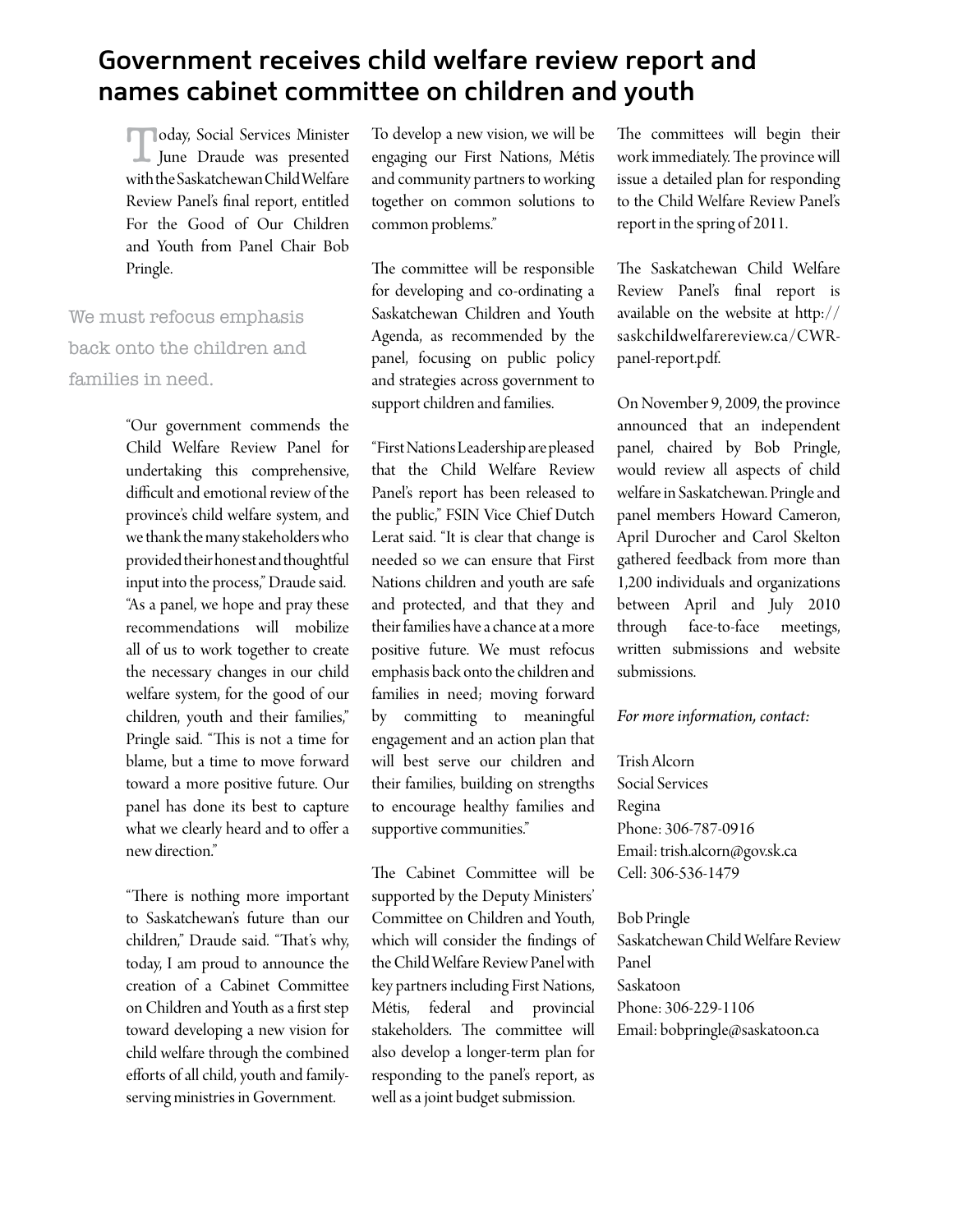## **Government receives child welfare review report and names cabinet committee on children and youth**

**Today, Social Services Minister** June Draude was presented with the Saskatchewan Child Welfare Review Panel's fnal report, entitled For the Good of Our Children and Youth from Panel Chair Bob Pringle.

We must refocus emphasis back onto the children and families in need.

> "Our government commends the Child Welfare Review Panel for undertaking this comprehensive, difficult and emotional review of the province's child welfare system, and we thank the many stakeholders who provided their honest and thoughtful input into the process," Draude said. "As a panel, we hope and pray these recommendations will mobilize all of us to work together to create the necessary changes in our child welfare system, for the good of our children, youth and their families," Pringle said. "This is not a time for blame, but a time to move forward toward a more positive future. Our panel has done its best to capture what we clearly heard and to offer a new direction."

"There is nothing more important to Saskatchewan's future than our children," Draude said. "That's why, today, I am proud to announce the creation of a Cabinet Commitee on Children and Youth as a frst step toward developing a new vision for child welfare through the combined efforts of all child, youth and familyserving ministries in Government.

To develop a new vision, we will be engaging our First Nations, Métis and community partners to working together on common solutions to common problems."

The committee will be responsible for developing and co-ordinating a Saskatchewan Children and Youth Agenda, as recommended by the panel, focusing on public policy and strategies across government to support children and families.

"First Nations Leadership are pleased that the Child Welfare Review Panel's report has been released to the public," FSIN Vice Chief Dutch Lerat said. "It is clear that change is needed so we can ensure that First Nations children and youth are safe and protected, and that they and their families have a chance at a more positive future. We must refocus emphasis back onto the children and families in need; moving forward by commiting to meaningful engagement and an action plan that will best serve our children and their families, building on strengths to encourage healthy families and supportive communities."

The Cabinet Committee will be supported by the Deputy Ministers' Commitee on Children and Youth, which will consider the fndings of the Child Welfare Review Panel with key partners including First Nations, Métis, federal and provincial stakeholders. The committee will also develop a longer-term plan for responding to the panel's report, as well as a joint budget submission.

The committees will begin their work immediately. The province will issue a detailed plan for responding to the Child Welfare Review Panel's report in the spring of 2011.

The Saskatchewan Child Welfare Review Panel's fnal report is available on the website at htp:// saskchildwelfarereview.ca/CWRpanel-report.pdf.

On November 9, 2009, the province announced that an independent panel, chaired by Bob Pringle, would review all aspects of child welfare in Saskatchewan. Pringle and panel members Howard Cameron, April Durocher and Carol Skelton gathered feedback from more than 1,200 individuals and organizations between April and July 2010 through face-to-face meetings, writen submissions and website submissions.

*For more information, contact:* 

Trish Alcorn Social Services Regina Phone: 306-787-0916 Email: trish.alcorn@gov.sk.ca Cell: 306-536-1479

Bob Pringle Saskatchewan Child Welfare Review Panel Saskatoon Phone: 306-229-1106 Email: bobpringle@saskatoon.ca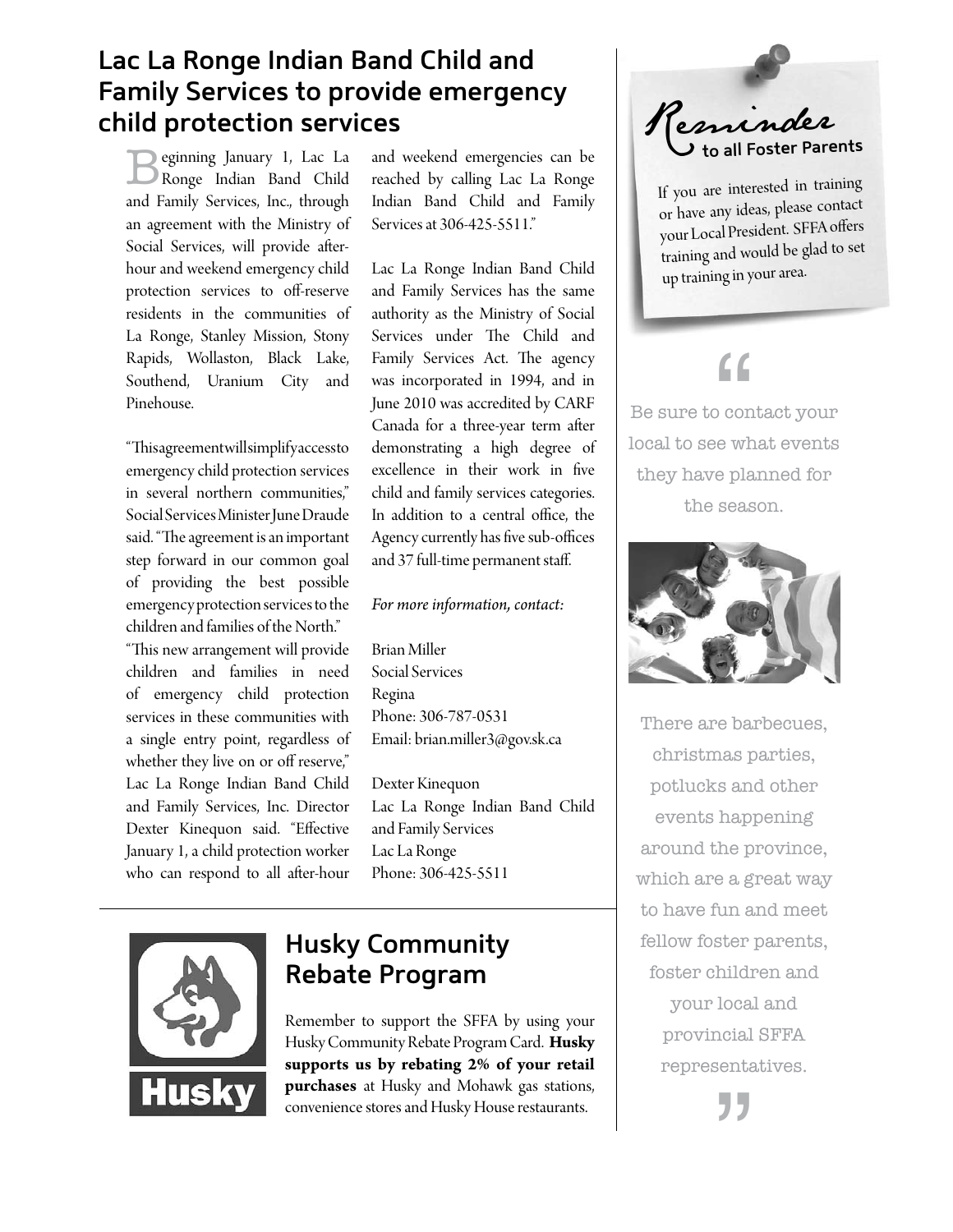## **Lac La Ronge Indian Band Child and Family Services to provide emergency child protection services**

Beginning January 1, Lac La Ronge Indian Band Child and Family Services, Inc., through an agreement with the Ministry of Social Services, will provide aferhour and weekend emergency child protection services to off-reserve residents in the communities of La Ronge, Stanley Mission, Stony Rapids, Wollaston, Black Lake, Southend, Uranium City and Pinehouse.

"This agreement will simplify access to emergency child protection services in several northern communities," Social Services Minister June Draude said. "The agreement is an important step forward in our common goal of providing the best possible emergency protection services to the children and families of the North." "This new arrangement will provide children and families in need of emergency child protection services in these communities with a single entry point, regardless of whether they live on or off reserve," Lac La Ronge Indian Band Child and Family Services, Inc. Director Dexter Kinequon said. "Efective January 1, a child protection worker who can respond to all after-hour

and weekend emergencies can be reached by calling Lac La Ronge Indian Band Child and Family Services at 306-425-5511."

Lac La Ronge Indian Band Child and Family Services has the same authority as the Ministry of Social Services under The Child and Family Services Act. The agency was incorporated in 1994, and in June 2010 was accredited by CARF Canada for a three-year term after demonstrating a high degree of excellence in their work in fve child and family services categories. In addition to a central office, the Agency currently has five sub-offices and 37 full-time permanent staf.

#### *For more information, contact:*

Brian Miller Social Services Regina Phone: 306-787-0531 Email: brian.miller3@gov.sk.ca

Dexter Kinequon Lac La Ronge Indian Band Child and Family Services Lac La Ronge Phone: 306-425-5511



## **Husky Community Rebate Program**

Remember to support the SFFA by using your Husky Community Rebate Program Card. **Husky supports us by rebating 2% of your retail purchases** at Husky and Mohawk gas stations, convenience stores and Husky House restaurants.



If you are interested in training or have any ideas, please contact your Local President. SFFA offers training and would be glad to set up training in your area.

# "

local to see what events Be sure to contact your they have planned for the season.



There are barbecues, christmas parties, potlucks and other events happening around the province, which are a great way to have fun and meet fellow foster parents, foster children and your local and provincial SFFA representatives.

,<br>,<br>,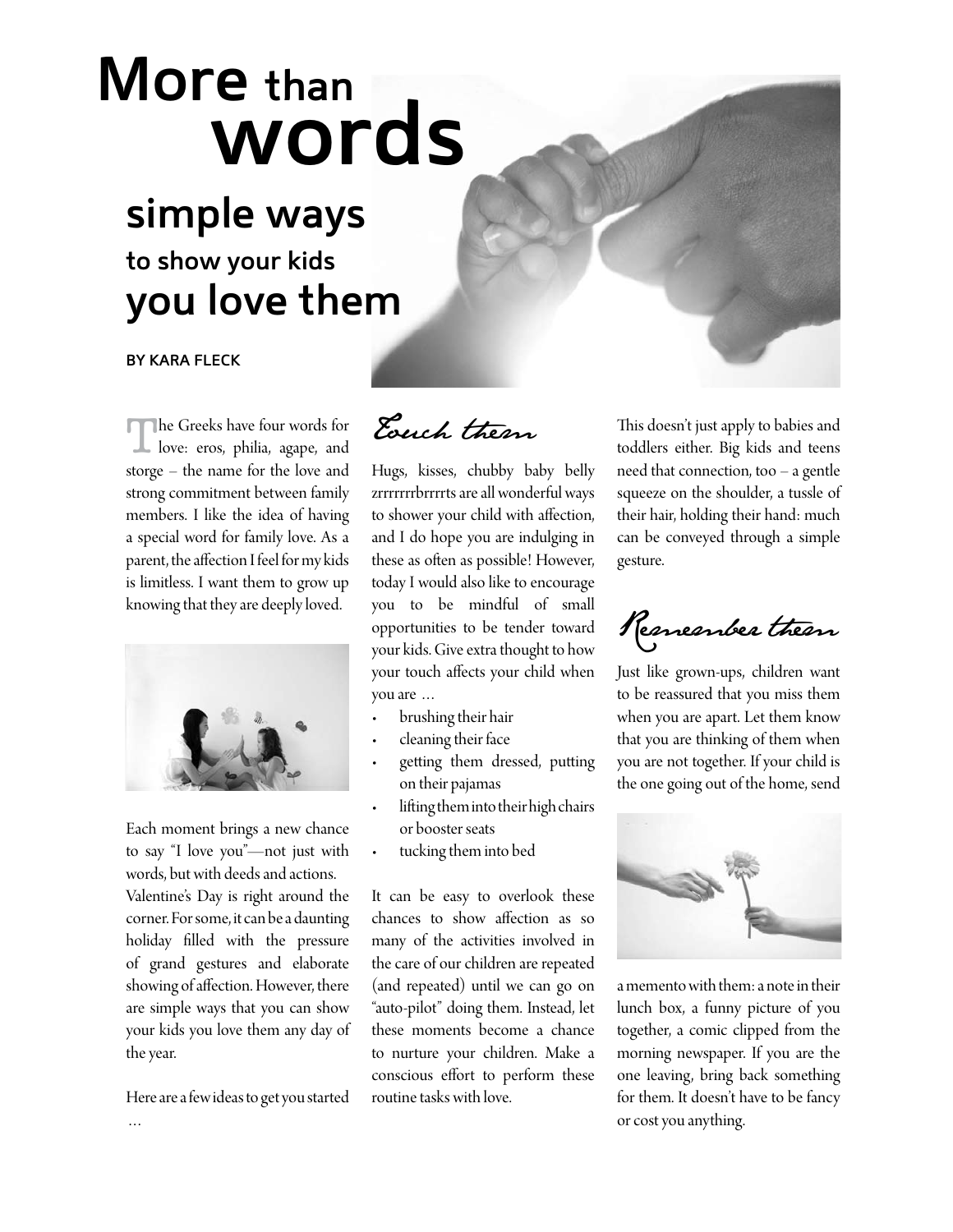# **More than words**

# **simple ways to show your kids you love them**

#### **BY KARA FLECK**

The Greeks have four words for love: eros, philia, agape, and storge – the name for the love and strong commitment between family members. I like the idea of having a special word for family love. As a parent, the afection I feel for my kids is limitless. I want them to grow up knowing that they are deeply loved.



Each moment brings a new chance to say "I love you"—not just with words, but with deeds and actions.

Valentine's Day is right around the corner. For some, it can be a daunting holiday flled with the pressure of grand gestures and elaborate showing of afection. However, there are simple ways that you can show your kids you love them any day of the year.

Here are a few ideas to get you started

Touch them

Hugs, kisses, chubby baby belly zrrrrrrrbrrrrts are all wonderful ways to shower your child with afection, and I do hope you are indulging in these as often as possible! However, today I would also like to encourage you to be mindful of small opportunities to be tender toward your kids. Give extra thought to how your touch afects your child when you are …

- r brushing their hair
- cleaning their face
- getting them dressed, putting on their pajamas
- lifting them into their high chairs or booster seats
- tucking them into bed

It can be easy to overlook these chances to show afection as so many of the activities involved in the care of our children are repeated (and repeated) until we can go on "auto-pilot" doing them. Instead, let these moments become a chance to nurture your children. Make a conscious efort to perform these routine tasks with love.

This doesn't just apply to babies and toddlers either. Big kids and teens need that connection, too – a gentle squeeze on the shoulder, a tussle of their hair, holding their hand: much can be conveyed through a simple gesture.

Remember them

Just like grown-ups, children want to be reassured that you miss them when you are apart. Let them know that you are thinking of them when you are not together. If your child is the one going out of the home, send



a memento with them: a note in their lunch box, a funny picture of you together, a comic clipped from the morning newspaper. If you are the one leaving, bring back something for them. It doesn't have to be fancy or cost you anything.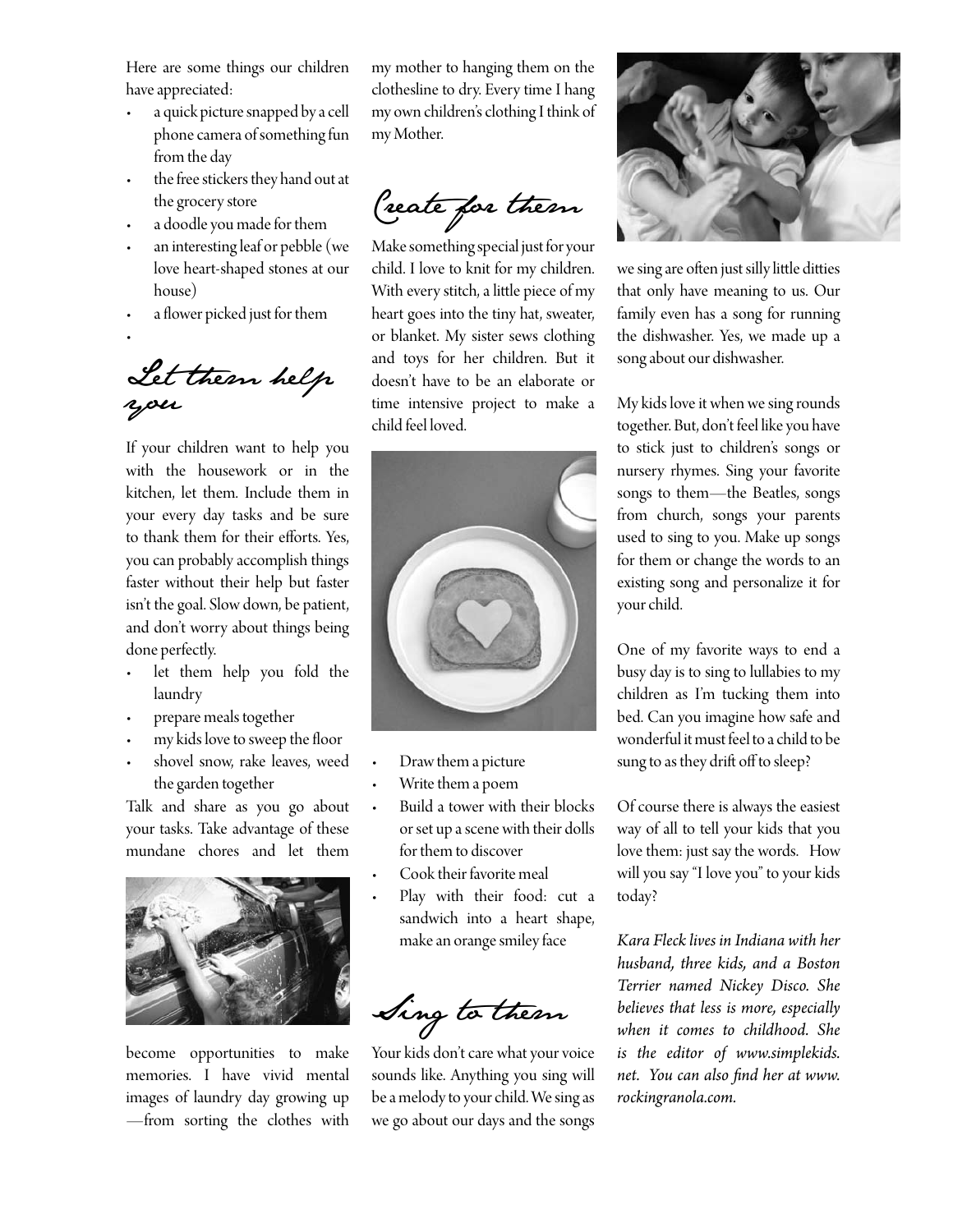Here are some things our children have appreciated:

- r a quick picture snapped by a cell phone camera of something fun from the day
- the free stickers they hand out at the grocery store
- r a doodle you made for them
- an interesting leaf or pebble (we love heart-shaped stones at our house)
- a flower picked just for them
- r

Let them help you

If your children want to help you with the housework or in the kitchen, let them. Include them in your every day tasks and be sure to thank them for their eforts. Yes, you can probably accomplish things faster without their help but faster isn't the goal. Slow down, be patient, and don't worry about things being done perfectly.

- let them help you fold the laundry
- prepare meals together
- my kids love to sweep the floor
- shovel snow, rake leaves, weed the garden together

Talk and share as you go about your tasks. Take advantage of these mundane chores and let them



become opportunities to make memories. I have vivid mental images of laundry day growing up —from sorting the clothes with my mother to hanging them on the clothesline to dry. Every time I hang my own children's clothing I think of my Mother.

Create for them

Make something special just for your child. I love to knit for my children. With every stitch, a litle piece of my heart goes into the tiny hat, sweater, or blanket. My sister sews clothing and toys for her children. But it doesn't have to be an elaborate or time intensive project to make a child feel loved.



- Draw them a picture
- Write them a poem
- Build a tower with their blocks or set up a scene with their dolls for them to discover
- Cook their favorite meal
- Play with their food: cut a sandwich into a heart shape, make an orange smiley face

Sing to them

Your kids don't care what your voice sounds like. Anything you sing will be a melody to your child. We sing as we go about our days and the songs



we sing are often just silly little ditties that only have meaning to us. Our family even has a song for running the dishwasher. Yes, we made up a song about our dishwasher.

My kids love it when we sing rounds together. But, don't feel like you have to stick just to children's songs or nursery rhymes. Sing your favorite songs to them—the Beatles, songs from church, songs your parents used to sing to you. Make up songs for them or change the words to an existing song and personalize it for your child.

One of my favorite ways to end a busy day is to sing to lullabies to my children as I'm tucking them into bed. Can you imagine how safe and wonderful it must feel to a child to be sung to as they drift off to sleep?

Of course there is always the easiest way of all to tell your kids that you love them: just say the words. How will you say "I love you" to your kids today?

*Kara Fleck lives in Indiana with her husband, three kids, and a Boston Terrier named Nickey Disco. She believes that less is more, especially when it comes to childhood. She is the editor of www.simplekids. net. You can also fnd her at www. rockingranola.com.*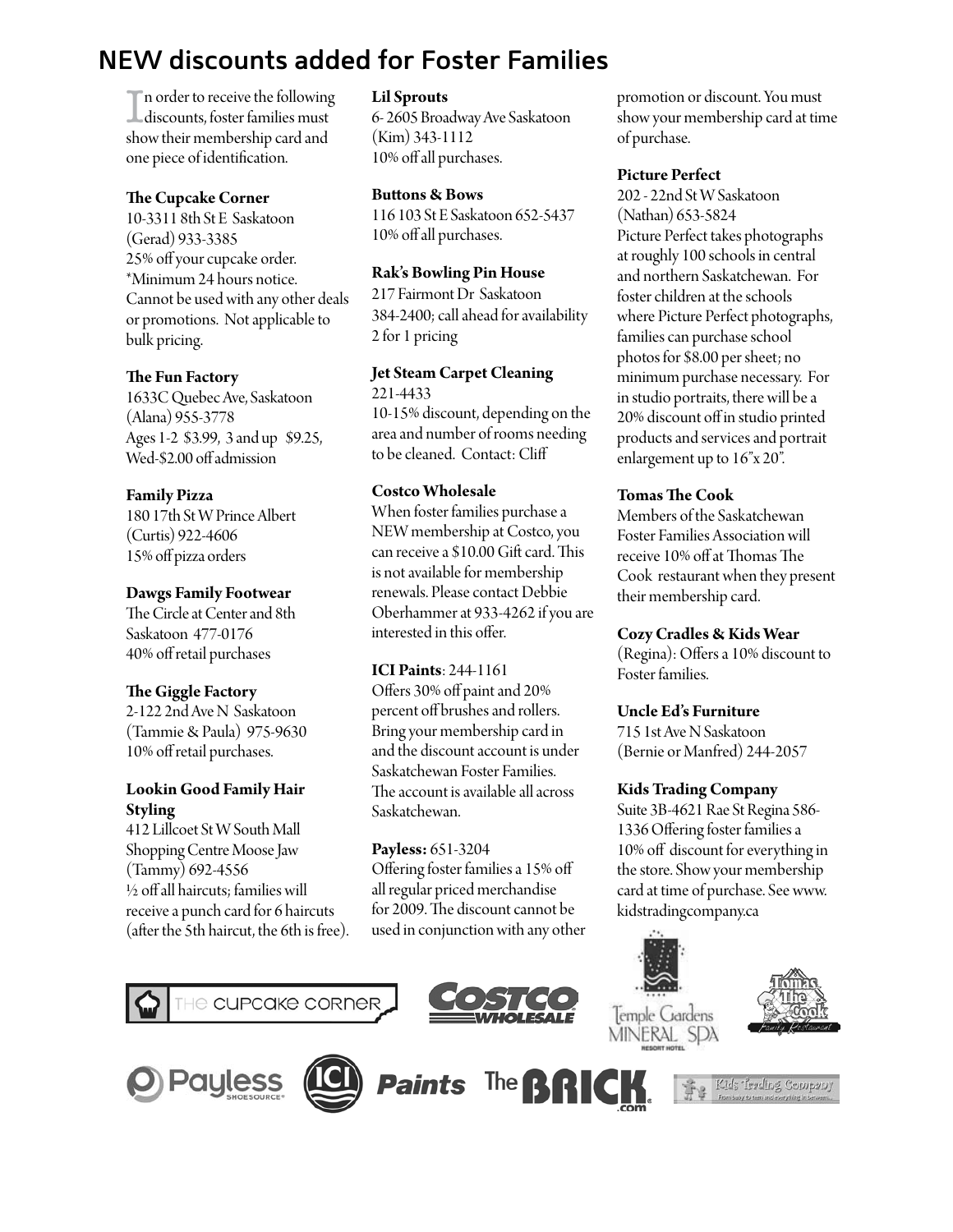## **NEW discounts added for Foster Families**

I discounts, foster families must If n order to receive the following show their membership card and one piece of identifcation.

#### **The Cupcake Corner**

10-3311 8th St E Saskatoon (Gerad) 933-3385 25% off your cupcake order. \*Minimum 24 hours notice. Cannot be used with any other deals or promotions. Not applicable to bulk pricing.

#### **Te Fun Factory**

1633C Quebec Ave, Saskatoon (Alana) 955-3778 Ages 1-2 \$3.99, 3 and up \$9.25, Wed-\$2.00 off admission

#### **Family Pizza**

180 17th St W Prince Albert (Curtis) 922-4606 15% of pizza orders

#### **Dawgs Family Footwear**

The Circle at Center and 8th Saskatoon 477-0176 40% of retail purchases

#### **Te Giggle Factory**

2-122 2nd Ave N Saskatoon (Tammie & Paula) 975-9630 10% off retail purchases.

#### **Lookin Good Family Hair Styling**

412 Lillcoet St W South Mall Shopping Centre Moose Jaw (Tammy) 692-4556  $\frac{1}{2}$  off all haircuts; families will receive a punch card for 6 haircuts (after the 5th haircut, the 6th is free).

#### **Lil Sprouts**

6- 2605 Broadway Ave Saskatoon (Kim) 343-1112 10% off all purchases.

#### **Butons & Bows**

116 103 St E Saskatoon 652-5437 10% of all purchases.

#### **Rak's Bowling Pin House**

217 Fairmont Dr Saskatoon 384-2400; call ahead for availability 2 for 1 pricing

**Jet Steam Carpet Cleaning** 221-4433 10-15% discount, depending on the area and number of rooms needing to be cleaned. Contact: Clif

#### **Costco Wholesale**

When foster families purchase a NEW membership at Costco, you can receive a \$10.00 Gift card. This is not available for membership renewals. Please contact Debbie Oberhammer at 933-4262 if you are interested in this offer.

#### **ICI Paints**: 244-1161

Ofers 30% of paint and 20% percent off brushes and rollers. Bring your membership card in and the discount account is under Saskatchewan Foster Families. The account is available all across Saskatchewan.

#### **Payless:** 651-3204

Ofering foster families a 15% of all regular priced merchandise for 2009. The discount cannot be used in conjunction with any other promotion or discount. You must show your membership card at time of purchase.

#### **Picture Perfect**

202 - 22nd St W Saskatoon (Nathan) 653-5824 Picture Perfect takes photographs at roughly 100 schools in central and northern Saskatchewan. For foster children at the schools where Picture Perfect photographs, families can purchase school photos for \$8.00 per sheet; no minimum purchase necessary. For in studio portraits, there will be a 20% discount off in studio printed products and services and portrait enlargement up to 16"x 20".

#### **Tomas Te Cook**

Members of the Saskatchewan Foster Families Association will receive 10% off at Thomas The Cook restaurant when they present their membership card.

#### **Cozy Cradles & Kids Wear**

(Regina): Offers a 10% discount to Foster families.

#### **Uncle Ed's Furniture**

715 1st Ave NSaskatoon (Bernie or Manfred) 244-2057

#### **Kids Trading Company**

Suite 3B-4621 Rae St Regina 586- 1336 Ofering foster families a 10% off discount for everything in the store. Show your membership card at time of purchase. See www. kidstradingcompany.ca















Kids Teading Company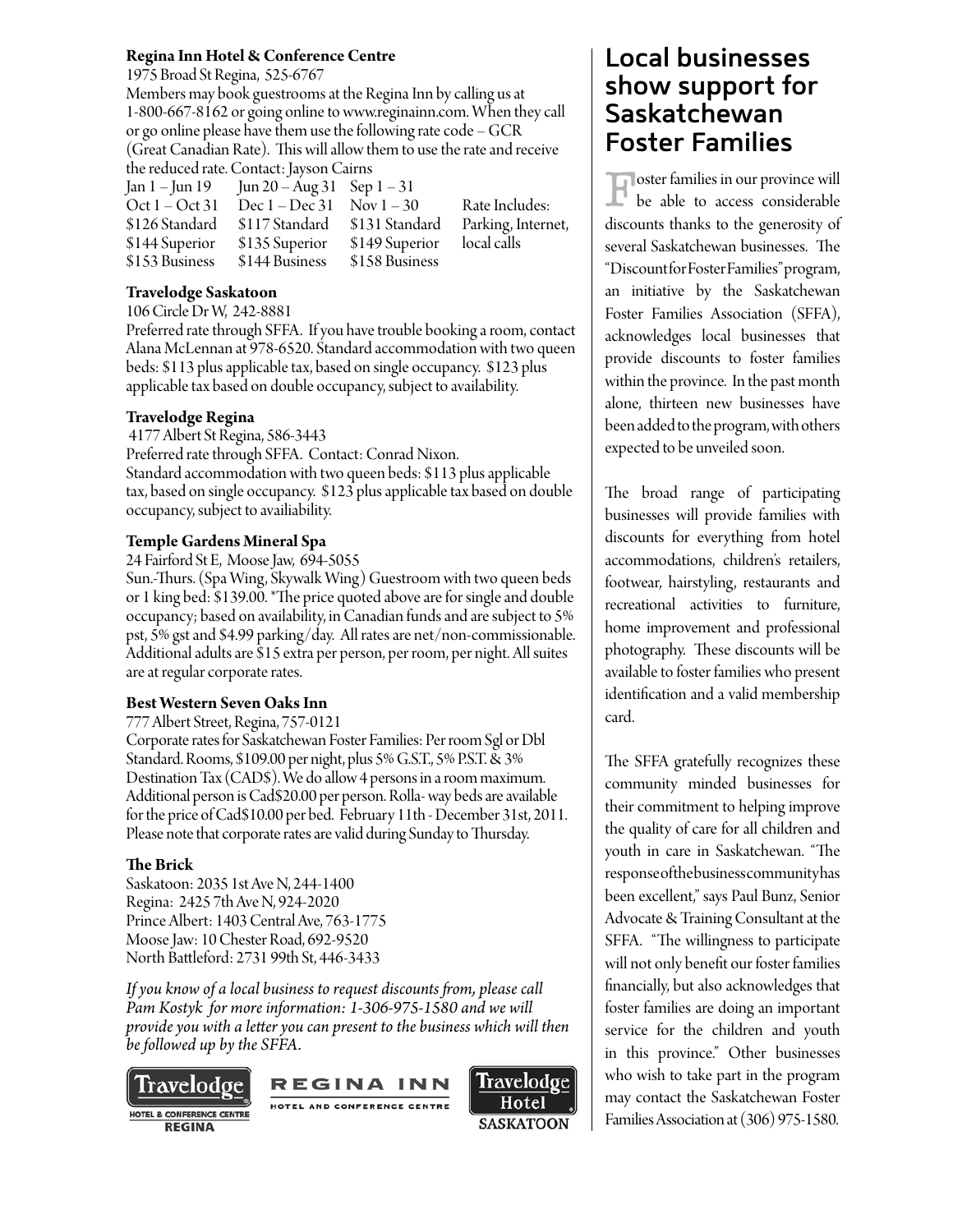#### **Regina Inn Hotel & Conference Centre**

1975 Broad St Regina, 525-6767

Members may book guestrooms at the Regina Inn by calling us at 1-800-667-8162 or going online to www.reginainn.com. When they call or go online please have them use the following rate code – GCR (Great Canadian Rate). This will allow them to use the rate and receive the reduced rate. Contact: Jayson Cairns

Jan 1 – Jun 19 Jun 20 – Aug 31 Sep 1 – 31<br>Oct 1 – Oct 31 Dec 1 – Dec 31 Nov 1 – 30 Oct  $1 - Oct 31$  Dec  $1 - Dec 31$  Nov  $1 - 30$  Rate Includes: \$126 Standard \$117 Standard \$131 Standard Parking, Internet, \$144 Superior \$135 Superior \$149 Superior local calls \$153 Business \$144 Business \$158 Business

#### **Travelodge Saskatoon**

106 Circle Dr W, 242-8881

Preferred rate through SFFA. If you have trouble booking a room, contact Alana McLennan at 978-6520. Standard accommodation with two queen beds: \$113 plus applicable tax, based on single occupancy. \$123 plus applicable tax based on double occupancy, subject to availability.

#### **Travelodge Regina**

 4177 Albert St Regina, 586-3443 Preferred rate through SFFA. Contact: Conrad Nixon. Standard accommodation with two queen beds: \$113 plus applicable tax, based on single occupancy. \$123 plus applicable tax based on double occupancy, subject to availiability.

#### **Temple Gardens Mineral Spa**

24 Fairford St E, Moose Jaw, 694-5055

Sun.-Turs. (Spa Wing, Skywalk Wing) Guestroom with two queen beds or 1 king bed: \$139.00. \*The price quoted above are for single and double occupancy; based on availability, in Canadian funds and are subject to 5% pst, 5% gst and \$4.99 parking/day. All rates are net/non-commissionable. Additional adults are \$15 extra per person, per room, per night. All suites are at regular corporate rates.

#### **Best Western Seven Oaks Inn**

777 Albert Street, Regina, 757-0121

Corporate rates for Saskatchewan Foster Families: Per room Sgl or Dbl Standard. Rooms, \$109.00 per night, plus 5% G.S.T., 5% P.S.T. & 3% Destination Tax (CAD\$). We do allow 4 persons in a room maximum. Additional person is Cad\$20.00 per person. Rolla- way beds are available for the price of Cad\$10.00 per bed. February 11th - December 31st, 2011. Please note that corporate rates are valid during Sunday to Thursday.

#### **Te Brick**

Saskatoon: 2035 1st Ave N, 244-1400 Regina: 2425 7th Ave N, 924-2020 Prince Albert: 1403 Central Ave, 763-1775 Moose Jaw: 10 Chester Road, 692-9520 North Batleford: 2731 99th St, 446-3433

*If you know of a local business to request discounts fom, please call Pam Kostyk for more information: 1-306-975-1580 and we will provide you with a leter you can present to the business which will then be followed up by the SFFA.* 



**REGINA** 





## **Local businesses show support for Saskatchewan Foster Families**

Foster families in our province will be able to access considerable discounts thanks to the generosity of several Saskatchewan businesses. The "Discount for Foster Families" program, an initiative by the Saskatchewan Foster Families Association (SFFA), acknowledges local businesses that provide discounts to foster families within the province. In the past month alone, thirteen new businesses have been added to the program, with others expected to be unveiled soon.

The broad range of participating businesses will provide families with discounts for everything from hotel accommodations, children's retailers, footwear, hairstyling, restaurants and recreational activities to furniture, home improvement and professional photography. These discounts will be available to foster families who present identifcation and a valid membership card.

The SFFA gratefully recognizes these community minded businesses for their commitment to helping improve the quality of care for all children and youth in care in Saskatchewan. "The response of the business community has been excellent," says Paul Bunz, Senior Advocate & Training Consultant at the SFFA. "The willingness to participate will not only beneft our foster families fnancially, but also acknowledges that foster families are doing an important service for the children and youth in this province." Other businesses who wish to take part in the program may contact the Saskatchewan Foster Families Association at (306) 975-1580.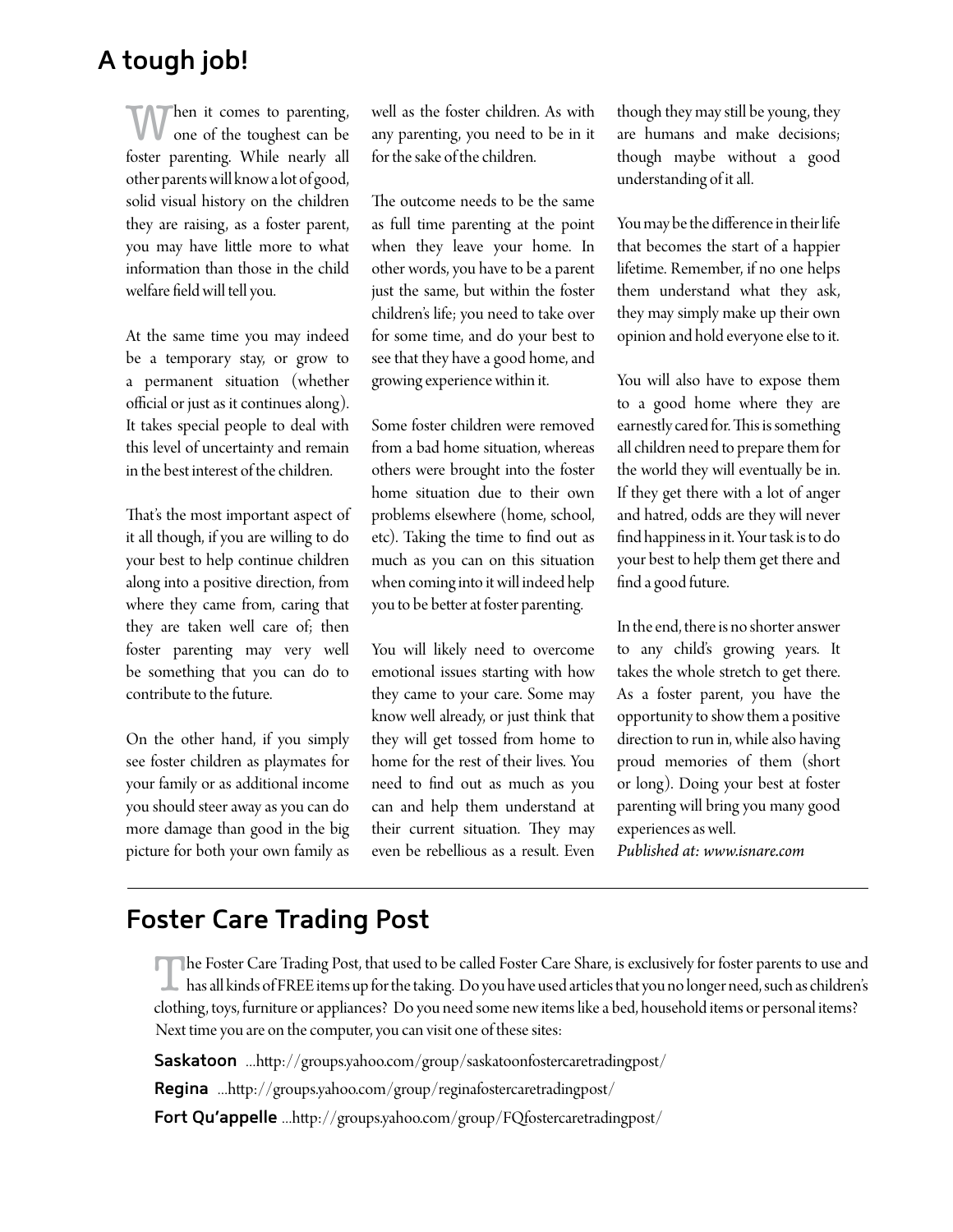## **A tough job!**

Then it comes to parenting, one of the toughest can be foster parenting. While nearly all other parents will know a lot of good, solid visual history on the children they are raising, as a foster parent, you may have litle more to what information than those in the child welfare feld will tell you.

At the same time you may indeed be a temporary stay, or grow to a permanent situation (whether official or just as it continues along). It takes special people to deal with this level of uncertainty and remain in the best interest of the children.

That's the most important aspect of it all though, if you are willing to do your best to help continue children along into a positive direction, from where they came from, caring that they are taken well care of; then foster parenting may very well be something that you can do to contribute to the future.

On the other hand, if you simply see foster children as playmates for your family or as additional income you should steer away as you can do more damage than good in the big picture for both your own family as well as the foster children. As with any parenting, you need to be in it for the sake of the children.

The outcome needs to be the same as full time parenting at the point when they leave your home. In other words, you have to be a parent just the same, but within the foster children's life; you need to take over for some time, and do your best to see that they have a good home, and growing experience within it.

Some foster children were removed from a bad home situation, whereas others were brought into the foster home situation due to their own problems elsewhere (home, school, etc). Taking the time to fnd out as much as you can on this situation when coming into it will indeed help you to be better at foster parenting.

You will likely need to overcome emotional issues starting with how they came to your care. Some may know well already, or just think that they will get tossed from home to home for the rest of their lives. You need to fnd out as much as you can and help them understand at their current situation. They may even be rebellious as a result. Even

though they may still be young, they are humans and make decisions; though maybe without a good understanding of it all.

You may be the diference in their life that becomes the start of a happier lifetime. Remember, if no one helps them understand what they ask, they may simply make up their own opinion and hold everyone else to it.

You will also have to expose them to a good home where they are earnestly cared for. This is something all children need to prepare them for the world they will eventually be in. If they get there with a lot of anger and hatred, odds are they will never fnd happiness in it. Your task is to do your best to help them get there and fnd a good future.

In the end, there is no shorter answer to any child's growing years. It takes the whole stretch to get there. As a foster parent, you have the opportunity to show them a positive direction to run in, while also having proud memories of them (short or long). Doing your best at foster parenting will bring you many good experiences as well. *Published at: www.isnare.com*

## **Foster Care Trading Post**

The Foster Care Trading Post, that used to be called Foster Care Share, is exclusively for foster parents to use and has all kinds of FREE items up for the taking. Do you have used articles that you no longer need, such as children's clothing, toys, furniture or appliances? Do you need some new items like a bed, household items or personal items? Next time you are on the computer, you can visit one of these sites:

**Saskatoon** ...http://groups.yahoo.com/group/saskatoonfostercaretradingpost/

**Regina** ...http://groups.yahoo.com/group/reginafostercaretradingpost/

Fort Qu'appelle ...http://groups.yahoo.com/group/FQfostercaretradingpost/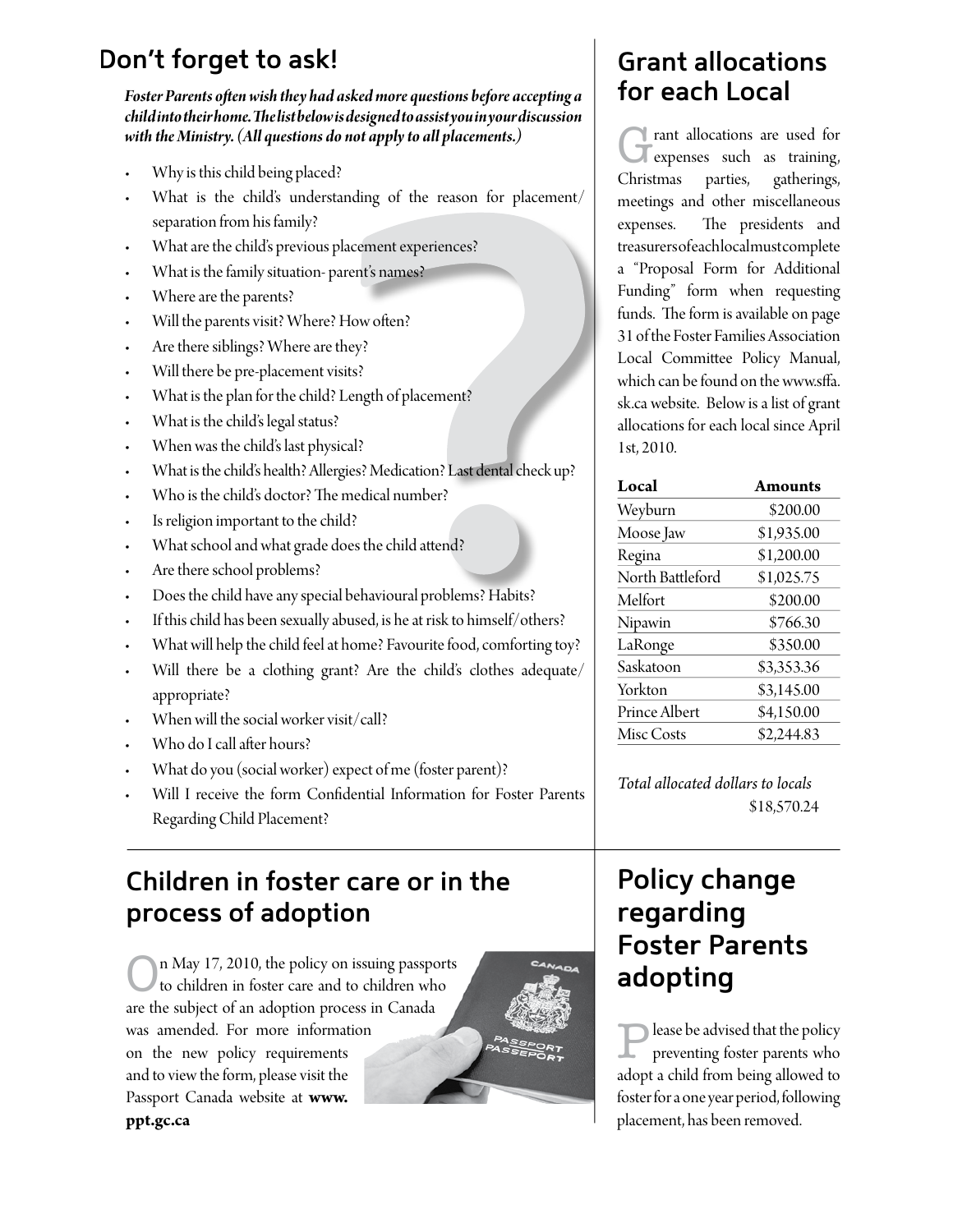## Don't forget to ask!

Foster Parents often wish they had asked more questions before accepting a childinto their home. The list below is designed to assistyou in your discussion with the Ministry. (All questions do not apply to all placements.)

- Why is this child being placed?
- What is the child's understanding of the reason for placement/ separation from his family?
- What are the child's previous placement experiences?
- What is the family situation-parent's names?
- Where are the parents?
- Will the parents visit? Where? How often?
- Are there siblings? Where are they?
- Will there be pre-placement visits?
- What is the plan for the child? Length of placement?
- What is the child's legal status?
- When was the child's last physical?
- What is the child's health? Allergies? Medication? Last dental check up?
- Who is the child's doctor? The medical number?
- Is religion important to the child?
- What school and what grade does the child attend?
- Are there school problems?
- Does the child have any special behavioural problems? Habits?
- If this child has been sexually abused, is he at risk to himself/others?
- What will help the child feel at home? Favourite food, comforting toy?
- Will there be a clothing grant? Are the child's clothes adequate/ appropriate?
- When will the social worker visit/call?
- Who do I call after hours?
- What do you (social worker) expect of me (foster parent)?
- Will I receive the form Confidential Information for Foster Parents Regarding Child Placement?

## Children in foster care or in the process of adoption

n May 17, 2010, the policy on issuing passports to children in foster care and to children who are the subject of an adoption process in Canada was amended. For more information on the new policy requirements and to view the form, please visit the Passport Canada website at www. ppt.gc.ca



## **Grant allocations** for each Local

If rant allocations are used for expenses such as training, Christmas parties, gatherings, meetings and other miscellaneous The presidents and expenses. treasurersofeachlocalmustcomplete a "Proposal Form for Additional Funding" form when requesting funds. The form is available on page 31 of the Foster Families Association Local Committee Policy Manual, which can be found on the www.sffa. sk.ca website. Below is a list of grant allocations for each local since April 1st, 2010.

| Local            | <b>Amounts</b> |
|------------------|----------------|
| Weyburn          | \$200.00       |
| Moose Jaw        | \$1,935.00     |
| Regina           | \$1,200.00     |
| North Battleford | \$1,025.75     |
| Melfort          | \$200.00       |
| Nipawin          | \$766.30       |
| LaRonge          | \$350.00       |
| Saskatoon        | \$3,353.36     |
| Yorkton          | \$3,145.00     |
| Prince Albert    | \$4,150.00     |
| Misc Costs       | \$2,244.83     |

Total allocated dollars to locals \$18,570.24

## **Policy change** regarding **Foster Parents** adopting

lease be advised that the policy preventing foster parents who adopt a child from being allowed to foster for a one year period, following placement, has been removed.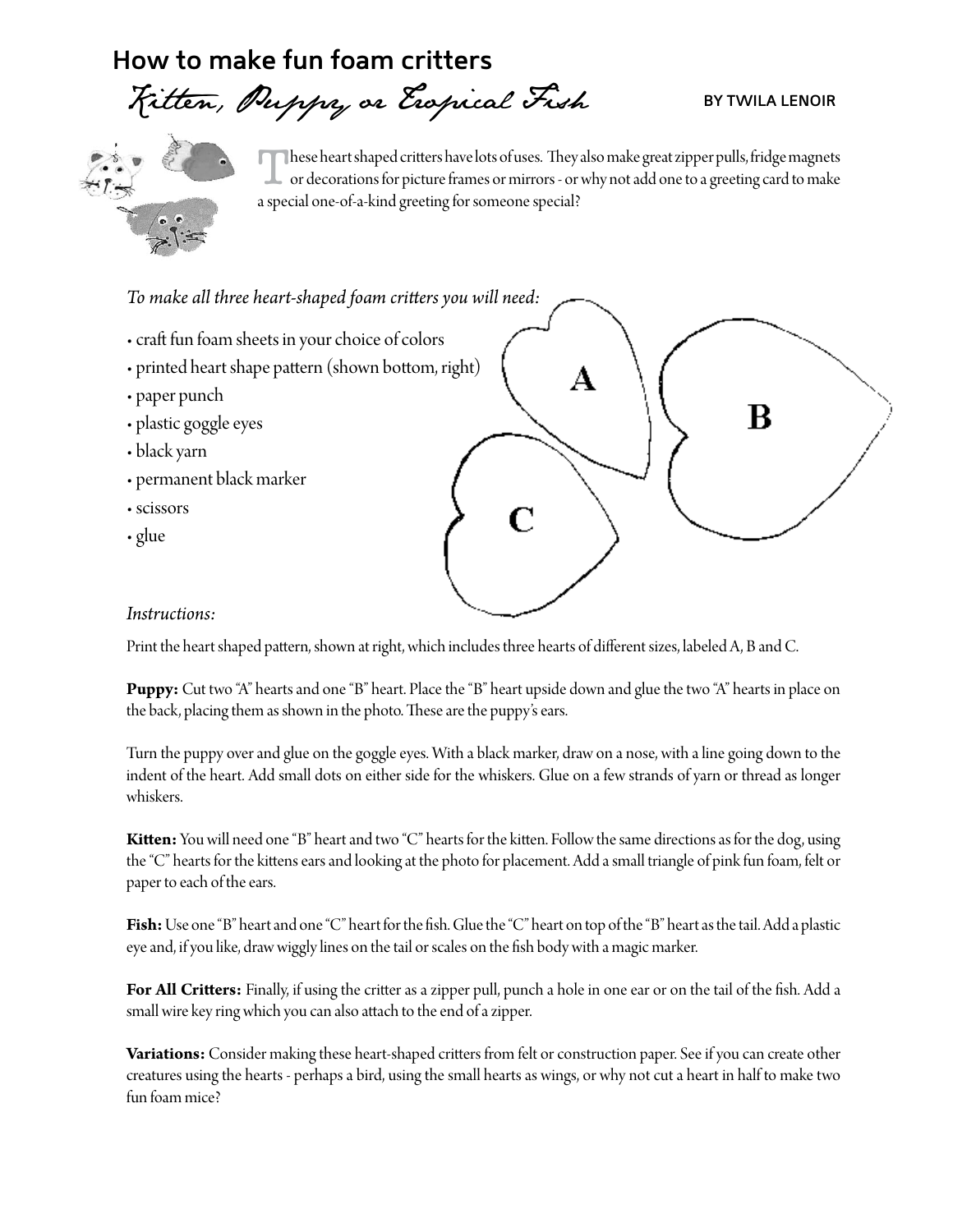## How to make fun foam critters

# Fitten, Puppy or Expical Fish

#### **BY TWILA LENOIR**



hese heart shaped critters have lots of uses. They also make great zipper pulls, fridge magnets or decorations for picture frames or mirrors - or why not add one to a greeting card to make a special one-of-a-kind greeting for someone special?

To make all three heart-shaped foam critters you will need:

- craft fun foam sheets in your choice of colors
- printed heart shape pattern (shown bottom, right)
- paper punch
- · plastic goggle eyes
- black yarn
- permanent black marker
- · scissors
- glue

# R

#### Instructions:

Print the heart shaped pattern, shown at right, which includes three hearts of different sizes, labeled A, B and C.

**Puppy:** Cut two "A" hearts and one "B" heart. Place the "B" heart upside down and glue the two "A" hearts in place on the back, placing them as shown in the photo. These are the puppy's ears.

Turn the puppy over and glue on the goggle eyes. With a black marker, draw on a nose, with a line going down to the indent of the heart. Add small dots on either side for the whiskers. Glue on a few strands of yarn or thread as longer whiskers.

Kitten: You will need one "B" heart and two "C" hearts for the kitten. Follow the same directions as for the dog, using the "C" hearts for the kittens ears and looking at the photo for placement. Add a small triangle of pink fun foam, felt or paper to each of the ears.

Fish: Use one "B" heart and one "C" heart for the fish. Glue the "C" heart on top of the "B" heart as the tail. Add a plastic eye and, if you like, draw wiggly lines on the tail or scales on the fish body with a magic marker.

For All Critters: Finally, if using the critter as a zipper pull, punch a hole in one ear or on the tail of the fish. Add a small wire key ring which you can also attach to the end of a zipper.

Variations: Consider making these heart-shaped critters from felt or construction paper. See if you can create other creatures using the hearts - perhaps a bird, using the small hearts as wings, or why not cut a heart in half to make two fun foam mice?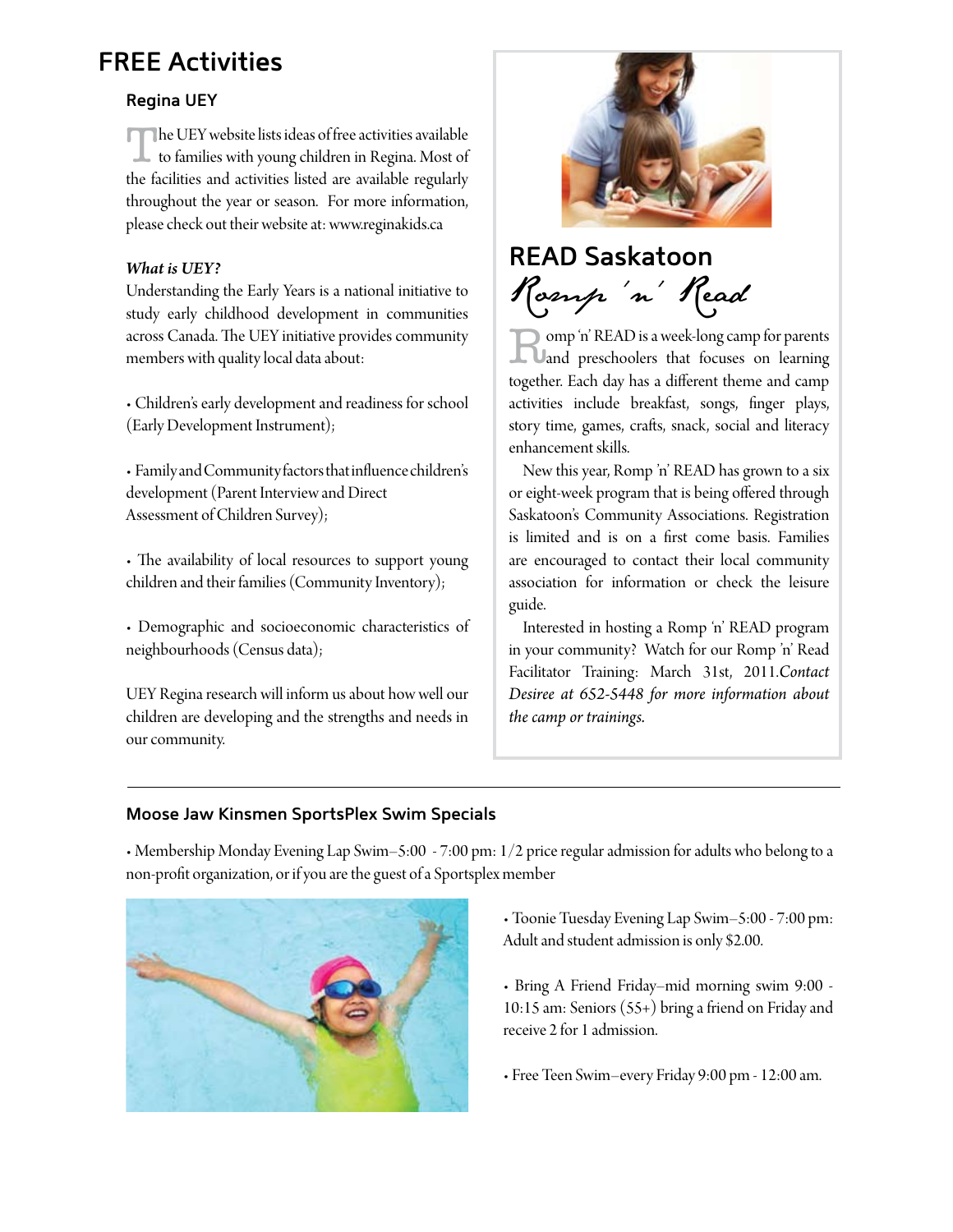## **FREE Activities**

#### **Regina UEY**

The UEY website lists ideas of free activities available<br>to families with young children in Regina. Most of the facilities and activities listed are available regularly throughout the year or season. For more information, please check out their website at: www.reginakids.ca

#### *What is UEY?*

Understanding the Early Years is a national initiative to study early childhood development in communities across Canada. The UEY initiative provides community members with quality local data about:

• Children's early development and readiness for school (Early Development Instrument);

 $\bullet$  Family and Community factors that influence children's development (Parent Interview and Direct Assessment of Children Survey);

• The availability of local resources to support young children and their families (Community Inventory);

• Demographic and socioeconomic characteristics of neighbourhoods (Census data);

UEY Regina research will inform us about how well our children are developing and the strengths and needs in our community.



## **READ Saskatoon**  Romp 'n' Read

**Example 1 AT AD is a week-long camp for parents Canadian preschoolers** that focuses on learning together. Each day has a diferent theme and camp activities include breakfast, songs, fnger plays, story time, games, crafts, snack, social and literacy enhancement skills.

New this year, Romp 'n' READ has grown to a six or eight-week program that is being ofered through Saskatoon's Community Associations. Registration is limited and is on a frst come basis. Families are encouraged to contact their local community association for information or check the leisure guide.

Interested in hosting a Romp 'n' READ program in your community? Watch for our Romp 'n' Read Facilitator Training: March 31st, 2011.*Contact Desiree at 652-5448 for more information about the camp or trainings.*

#### **Moose Jaw Kinsmen SportsPlex Swim Specials**

• Membership Monday Evening Lap Swim–5:00 - 7:00 pm: 1/2 price regular admission for adults who belong to a non-proft organization, or if you are the guest of a Sportsplex member



- Toonie Tuesday Evening Lap Swim–5:00 7:00 pm: Adult and student admission is only \$2.00.
- Bring A Friend Friday-mid morning swim 9:00 -10:15 am: Seniors (55+) bring a friend on Friday and receive 2 for 1 admission.
- Free Teen Swim-every Friday 9:00 pm 12:00 am.